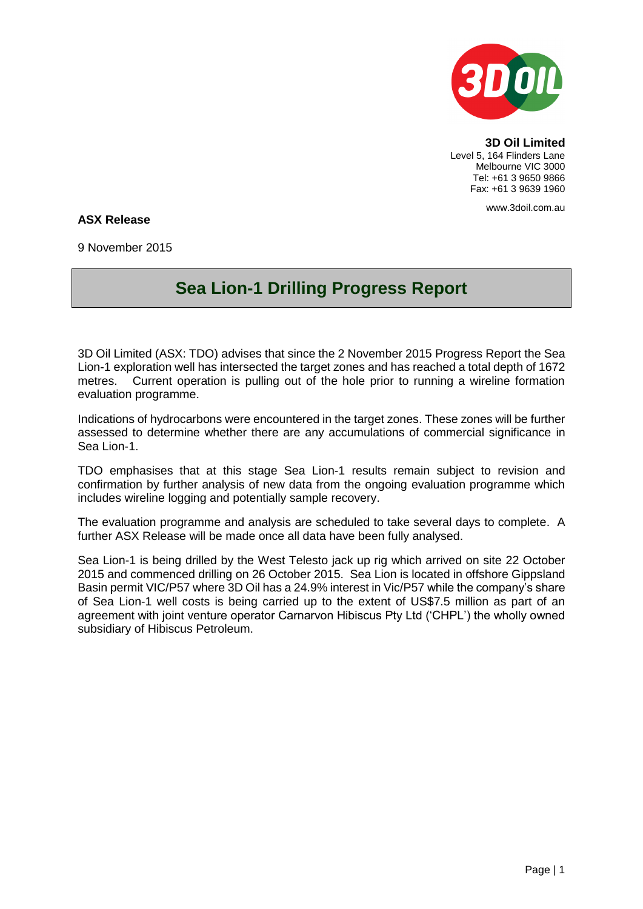

**3D Oil Limited** Level 5, 164 Flinders Lane Melbourne VIC 3000 Tel: +61 3 9650 9866 Fax: +61 3 9639 1960

www.3doil.com.au

## **ASX Release**

9 November 2015

## **Sea Lion-1 Drilling Progress Report**

3D Oil Limited (ASX: TDO) advises that since the 2 November 2015 Progress Report the Sea Lion-1 exploration well has intersected the target zones and has reached a total depth of 1672 metres. Current operation is pulling out of the hole prior to running a wireline formation evaluation programme.

Indications of hydrocarbons were encountered in the target zones. These zones will be further assessed to determine whether there are any accumulations of commercial significance in Sea Lion-1.

TDO emphasises that at this stage Sea Lion-1 results remain subject to revision and confirmation by further analysis of new data from the ongoing evaluation programme which includes wireline logging and potentially sample recovery.

The evaluation programme and analysis are scheduled to take several days to complete. A further ASX Release will be made once all data have been fully analysed.

Sea Lion-1 is being drilled by the West Telesto jack up rig which arrived on site 22 October 2015 and commenced drilling on 26 October 2015. Sea Lion is located in offshore Gippsland Basin permit VIC/P57 where 3D Oil has a 24.9% interest in Vic/P57 while the company's share of Sea Lion-1 well costs is being carried up to the extent of US\$7.5 million as part of an agreement with joint venture operator Carnarvon Hibiscus Pty Ltd ('CHPL') the wholly owned subsidiary of Hibiscus Petroleum.